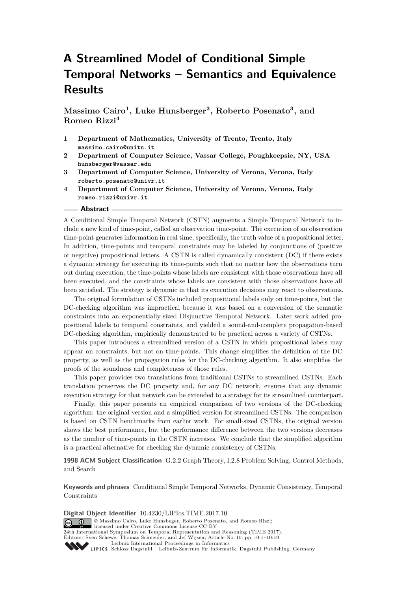# **A Streamlined Model of Conditional Simple Temporal Networks – Semantics and Equivalence Results**

**Massimo Cairo<sup>1</sup> , Luke Hunsberger<sup>2</sup> , Roberto Posenato<sup>3</sup> , and Romeo Rizzi<sup>4</sup>**

- **1 Department of Mathematics, University of Trento, Trento, Italy massimo.cairo@unitn.it**
- **2 Department of Computer Science, Vassar College, Poughkeepsie, NY, USA hunsberger@vassar.edu**
- **3 Department of Computer Science, University of Verona, Verona, Italy roberto.posenato@univr.it**
- **4 Department of Computer Science, University of Verona, Verona, Italy romeo.rizzi@univr.it**

#### **Abstract**

A Conditional Simple Temporal Network (CSTN) augments a Simple Temporal Network to include a new kind of time-point, called an observation time-point. The execution of an observation time-point generates information in real time, specifically, the truth value of a propositional letter. In addition, time-points and temporal constraints may be labeled by conjunctions of (positive or negative) propositional letters. A CSTN is called dynamically consistent (DC) if there exists a dynamic strategy for executing its time-points such that no matter how the observations turn out during execution, the time-points whose labels are consistent with those observations have all been executed, and the constraints whose labels are consistent with those observations have all been satisfied. The strategy is dynamic in that its execution decisions may react to observations.

The original formulation of CSTNs included propositional labels only on time-points, but the DC-checking algorithm was impractical because it was based on a conversion of the semantic constraints into an exponentially-sized Disjunctive Temporal Network. Later work added propositional labels to temporal constraints, and yielded a sound-and-complete propagation-based DC-checking algorithm, empirically demonstrated to be practical across a variety of CSTNs.

This paper introduces a streamlined version of a CSTN in which propositional labels may appear on constraints, but not on time-points. This change simplifies the definition of the DC property, as well as the propagation rules for the DC-checking algorithm. It also simplifies the proofs of the soundness and completeness of those rules.

This paper provides two translations from traditional CSTNs to streamlined CSTNs. Each translation preserves the DC property and, for any DC network, ensures that any dynamic execution strategy for that network can be extended to a strategy for its streamlined counterpart.

Finally, this paper presents an empirical comparison of two versions of the DC-checking algorithm: the original version and a simplified version for streamlined CSTNs. The comparison is based on CSTN benchmarks from earlier work. For small-sized CSTNs, the original version shows the best performance, but the performance difference between the two versions decreases as the number of time-points in the CSTN increases. We conclude that the simplified algorithm is a practical alternative for checking the dynamic consistency of CSTNs.

**1998 ACM Subject Classification** G.2.2 Graph Theory, I.2.8 Problem Solving, Control Methods, and Search

**Keywords and phrases** Conditional Simple Temporal Networks, Dynamic Consistency, Temporal Constraints

**Digital Object Identifier** [10.4230/LIPIcs.TIME.2017.10](http://dx.doi.org/10.4230/LIPIcs.TIME.2017.10) © Massimo Cairo, Luke Hunsbeger, Roberto Posenato, and Romeo Rizzi; licensed under Creative Commons License CC-BY 24th International Symposium on Temporal Representation and Reasoning (TIME 2017). Editors: Sven Schewe, Thomas Schneider, and Jef Wijsen; Article No. 10; pp. 10:1–10[:19](#page-18-0) [Leibniz International Proceedings in Informatics](http://www.dagstuhl.de/lipics/) Leibniz international riverenings in missimonal Publishing, Germany<br>LIPICS [Schloss Dagstuhl – Leibniz-Zentrum für Informatik, Dagstuhl Publishing, Germany](http://www.dagstuhl.de)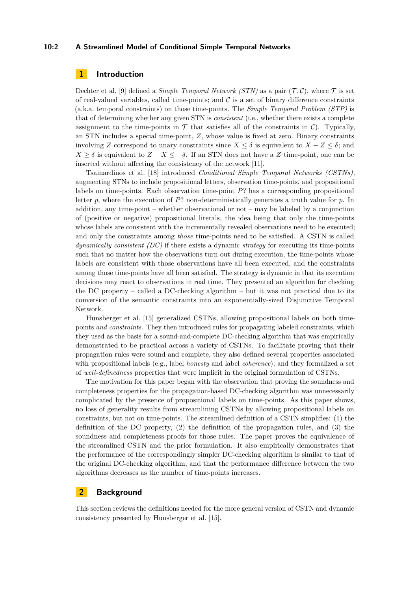## **10:2 A Streamlined Model of Conditional Simple Temporal Networks**

# **1 Introduction**

Dechter et al. [\[9\]](#page-15-0) defined a *Simple Temporal Network (STN)* as a pair  $(\mathcal{T}, \mathcal{C})$ , where  $\mathcal{T}$  is set of real-valued variables, called time-points; and  $\mathcal C$  is a set of binary difference constraints (a.k.a. temporal constraints) on those time-points. The *Simple Temporal Problem (STP)* is that of determining whether any given STN is *consistent* (i.e., whether there exists a complete assignment to the time-points in  $\mathcal T$  that satisfies all of the constraints in  $\mathcal C$ ). Typically, an STN includes a special time-point, *Z*, whose value is fixed at zero. Binary constraints involving *Z* correspond to unary constraints since  $X \leq \delta$  is equivalent to  $X - Z \leq \delta$ ; and  $X \geq \delta$  is equivalent to  $Z - X \leq -\delta$ . If an STN does not have a *Z* time-point, one can be inserted without affecting the consistency of the network [\[11\]](#page-15-1).

Tsamardinos et al. [\[18\]](#page-16-0) introduced *Conditional Simple Temporal Networks (CSTNs),* augmenting STNs to include propositional letters, observation time-points, and propositional labels on time-points. Each observation time-point *P*? has a corresponding propositional letter *p*, where the execution of *P*? non-deterministically generates a truth value for *p*. In addition, any time-point – whether observational or not – may be labeled by a conjunction of (positive or negative) propositional literals, the idea being that only the time-points whose labels are consistent with the incrementally revealed observations need to be executed; and only the constraints among *those* time-points need to be satisfied. A CSTN is called *dynamically consistent (DC)* if there exists a dynamic *strategy* for executing its time-points such that no matter how the observations turn out during execution, the time-points whose labels are consistent with those observations have all been executed, and the constraints among those time-points have all been satisfied. The strategy is dynamic in that its execution decisions may react to observations in real time. They presented an algorithm for checking the DC property – called a DC-checking algorithm – but it was not practical due to its conversion of the semantic constraints into an exponentially-sized Disjunctive Temporal Network.

Hunsberger et al. [\[15\]](#page-15-2) generalized CSTNs, allowing propositional labels on both timepoints *and constraints.* They then introduced rules for propagating labeled constraints, which they used as the basis for a sound-and-complete DC-checking algorithm that was empirically demonstrated to be practical across a variety of CSTNs. To facilitate proving that their propagation rules were sound and complete, they also defined several properties associated with propositional labels (e.g., label *honesty* and label *coherence*); and they formalized a set of *well-definedness* properties that were implicit in the original formulation of CSTNs.

The motivation for this paper began with the observation that proving the soundness and completeness properties for the propagation-based DC-checking algorithm was unnecessarily complicated by the presence of propositional labels on time-points. As this paper shows, no loss of generality results from streamlining CSTNs by allowing propositional labels on constraints, but not on time-points. The streamlined definition of a CSTN simplifies: (1) the definition of the DC property, (2) the definition of the propagation rules, and (3) the soundness and completeness proofs for those rules. The paper proves the equivalence of the streamlined CSTN and the prior formulation. It also empirically demonstrates that the performance of the correspondingly simpler DC-checking algorithm is similar to that of the original DC-checking algorithm, and that the performance difference between the two algorithms decreases as the number of time-points increases.

# **2 Background**

This section reviews the definitions needed for the more general version of CSTN and dynamic consistency presented by Hunsberger et al. [\[15\]](#page-15-2).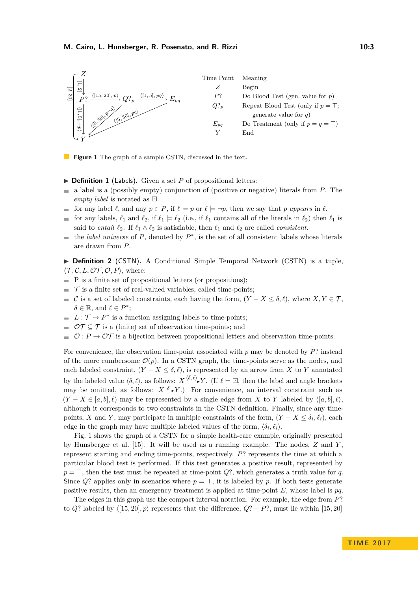<span id="page-2-0"></span>

**Figure 1** The graph of a sample CSTN, discussed in the text.

- $\triangleright$  **Definition 1** (Labels). Given a set *P* of propositional letters:
- a label is a (possibly empty) conjunction of (positive or negative) literals from *P*. The *empty label* is notated as  $\Box$ .
- for any label  $\ell$ , and any  $p \in P$ , if  $\ell \models p$  or  $\ell \models \neg p$ , then we say that *p appears* in  $\ell$ .  $\rightarrow$
- for any labels,  $\ell_1$  and  $\ell_2$ , if  $\ell_1 \models \ell_2$  (i.e., if  $\ell_1$  contains all of the literals in  $\ell_2$ ) then  $\ell_1$  is  $\overline{a}$ said to *entail*  $\ell_2$ . If  $\ell_1 \wedge \ell_2$  is satisfiable, then  $\ell_1$  and  $\ell_2$  are called *consistent*.
- the *label universe* of  $P$ , denoted by  $P^*$ , is the set of all consistent labels whose literals  $\sim$ are drawn from *P*.

▶ **Definition 2** (CSTN). A Conditional Simple Temporal Network (CSTN) is a tuple,  $\langle \mathcal{T}, \mathcal{C}, L, \mathcal{OT}, \mathcal{O}, P \rangle$ , where:

- $\blacksquare$  P is a finite set of propositional letters (or propositions);
- $\mathcal T$  is a finite set of real-valued variables, called time-points;
- C is a set of labeled constraints, each having the form,  $(Y X \le \delta, \ell)$ , where  $X, Y \in \mathcal{T}$ ,  $\delta \in \mathbb{R}$ , and  $\ell \in P^*$ ;
- $L: \mathcal{T} \to P^*$  is a function assigning labels to time-points;
- $\mathcal{OT} \subset \mathcal{T}$  is a (finite) set of observation time-points; and
- $\mathcal{O}: P \to \mathcal{O}\mathcal{T}$  is a bijection between propositional letters and observation time-points.

For convenience, the observation time-point associated with *p* may be denoted by *P*? instead of the more cumbersome  $\mathcal{O}(p)$ . In a CSTN graph, the time-points serve as the nodes, and each labeled constraint,  $(Y - X \leq \delta, \ell)$ , is represented by an arrow from X to Y annotated by the labeled value  $\langle \delta, \ell \rangle$ , as follows:  $X \xrightarrow{\langle \delta, \ell \rangle} Y$ . (If  $\ell = \square$ , then the label and angle brackets may be omitted, as follows:  $X \xrightarrow{\delta} Y$ .) For convenience, an interval constraint such as  $(Y - X \in [a, b], \ell)$  may be represented by a single edge from X to Y labeled by  $\langle [a, b], \ell \rangle$ , although it corresponds to two constraints in the CSTN definition. Finally, since any timepoints, *X* and *Y*, may participate in multiple constraints of the form,  $(Y - X \le \delta_i, \ell_i)$ , each edge in the graph may have multiple labeled values of the form,  $\langle \delta_i, \ell_i \rangle$ .

Fig. [1](#page-2-0) shows the graph of a CSTN for a simple health-care example, originally presented by Hunsberger et al. [\[15\]](#page-15-2). It will be used as a running example. The nodes, *Z* and *Y* , represent starting and ending time-points, respectively. *P*? represents the time at which a particular blood test is performed. If this test generates a positive result, represented by  $p = \top$ , then the test must be repeated at time-point *Q*?, which generates a truth value for *q*. Since *Q*? applies only in scenarios where  $p = \top$ , it is labeled by *p*. If both tests generate positive results, then an emergency treatment is applied at time-point *E*, whose label is *pq*.

The edges in this graph use the compact interval notation. For example, the edge from *P*? to *Q*? labeled by  $\langle [15, 20], p \rangle$  represents that the difference,  $Q$ ? − *P*?, must lie within [15*,* 20]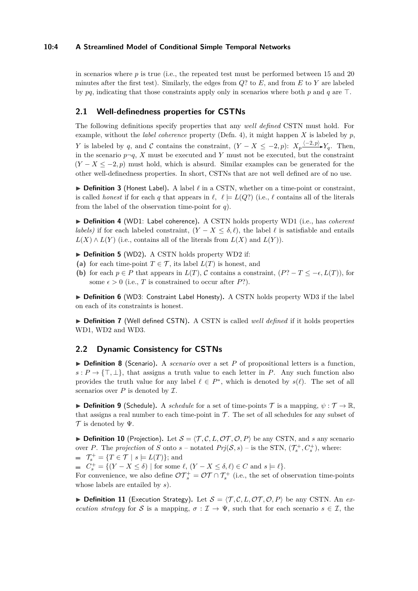## **10:4 A Streamlined Model of Conditional Simple Temporal Networks**

in scenarios where *p* is true (i.e., the repeated test must be performed between 15 and 20 minutes after the first test). Similarly, the edges from *Q*? to *E*, and from *E* to *Y* are labeled by  $pq$ , indicating that those constraints apply only in scenarios where both  $p$  and  $q$  are  $\top$ .

# **2.1 Well-definedness properties for CSTNs**

The following definitions specify properties that any *well defined* CSTN must hold. For example, without the *label coherence* property (Defn. [4\)](#page-3-0), it might happen *X* is labeled by *p*, *Y* is labeled by *q*, and *C* contains the constraint,  $(Y - X \leq -2, p)$ :  $X_p \xrightarrow{\langle -2, p \rangle} Y_q$ . Then, in the scenario  $p \neg q$ , *X* must be executed and *Y* must not be executed, but the constraint  $(Y - X \le -2, p)$  must hold, which is absurd. Similar examples can be generated for the other well-definedness properties. In short, CSTNs that are not well defined are of no use.

<span id="page-3-1"></span> $\triangleright$  **Definition 3** (Honest Label). A label  $\ell$  in a CSTN, whether on a time-point or constraint, is called *honest* if for each *q* that appears in  $\ell$ ,  $\ell \models L(Q)$ ? (i.e.,  $\ell$  contains all of the literals from the label of the observation time-point for *q*).

<span id="page-3-0"></span>▶ **Definition 4** (WD1: Label coherence). A CSTN holds property WD1 (i.e., has *coherent labels)* if for each labeled constraint,  $(Y - X \leq \delta, \ell)$ , the label  $\ell$  is satisfiable and entails  $L(X) \wedge L(Y)$  (i.e., contains all of the literals from  $L(X)$  and  $L(Y)$ ).

▶ **Definition 5** (WD2). A CSTN holds property WD2 if:

- (a) for each time-point  $T \in \mathcal{T}$ , its label  $L(T)$  is honest, and
- **(b)** for each  $p \in P$  that appears in  $L(T)$ , C contains a constraint,  $(P^2 T \leq -\epsilon, L(T))$ , for some  $\epsilon > 0$  (i.e., *T* is constrained to occur after *P*?).

<span id="page-3-2"></span>▶ **Definition 6** (WD3: Constraint Label Honesty). A CSTN holds property WD3 if the label on each of its constraints is honest.

▶ **Definition 7** (Well defined CSTN). A CSTN is called *well defined* if it holds properties WD1, WD2 and WD3.

# **2.2 Dynamic Consistency for CSTNs**

whose labels are entailed by *s*).

<span id="page-3-3"></span>▶ **Definition 8** (Scenario). A *scenario* over a set P of propositional letters is a function,  $s: P \to {\{\top, \bot\}}$ , that assigns a truth value to each letter in *P*. Any such function also provides the truth value for any label  $\ell \in P^*$ , which is denoted by  $s(\ell)$ . The set of all scenarios over  $P$  is denoted by  $\mathcal{I}$ .

<span id="page-3-4"></span>**Definition 9** (Schedule). A *schedule* for a set of time-points T is a mapping,  $\psi : \mathcal{T} \to \mathbb{R}$ , that assigns a real number to each time-point in  $\mathcal T$ . The set of all schedules for any subset of  $\mathcal T$  is denoted by  $\Psi$ .

<span id="page-3-5"></span>**Definition 10** (Projection). Let  $S = \langle T, C, L, \mathcal{OT}, \mathcal{O}, P \rangle$  be any CSTN, and *s* any scenario over *P*. The *projection* of *S* onto *s* – notated  $Prj(S, s)$  – is the STN,  $(\mathcal{T}_{s}^{+}, C_{s}^{+})$ , where:  $\mathcal{T}_{s}^{+} = \{T \in \mathcal{T} \mid s \models L(T)\};$  and

 $C_s^+ = \{(Y - X \le \delta) \mid \text{for some } \ell, (Y - X \le \delta, \ell) \in C \text{ and } s \models \ell\}.$ For convenience, we also define  $\mathcal{OT}_s^+ = \mathcal{OT} \cap \mathcal{T}_s^+$  (i.e., the set of observation time-points

<span id="page-3-6"></span> $\triangleright$  **Definition 11** (Execution Strategy). Let  $S = \langle T, C, L, \mathcal{OT}, \mathcal{O}, P \rangle$  be any CSTN. An *execution strategy* for S is a mapping,  $\sigma : \mathcal{I} \to \Psi$ , such that for each scenario  $s \in \mathcal{I}$ , the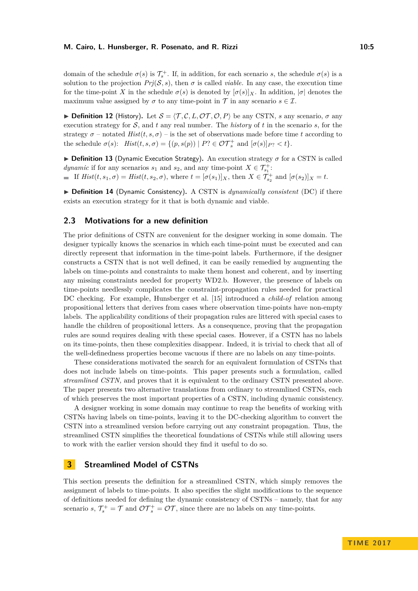## **M. Cairo, L. Hunsberger, R. Posenato, and R. Rizzi 10:5** 10:5

domain of the schedule  $\sigma(s)$  is  $\mathcal{T}_{s}^{+}$ . If, in addition, for each scenario *s*, the schedule  $\sigma(s)$  is a solution to the projection  $Pr(\mathcal{S}, s)$ , then  $\sigma$  is called *viable*. In any case, the execution time for the time-point *X* in the schedule  $\sigma(s)$  is denoted by  $[\sigma(s)]_X$ . In addition,  $|\sigma|$  denotes the maximum value assigned by  $\sigma$  to any time-point in  $\mathcal T$  in any scenario  $s \in \mathcal I$ .

<span id="page-4-1"></span>**Definition 12** (History). Let  $S = \langle \mathcal{T}, \mathcal{C}, L, \mathcal{OT}, \mathcal{O}, P \rangle$  be any CSTN, *s* any scenario,  $\sigma$  any execution strategy for S, and *t* any real number. The *history* of *t* in the scenario *s*, for the strategy  $\sigma$  – notated  $Hist(t, s, \sigma)$  – is the set of observations made before time *t* according to the schedule  $\sigma(s)$ :  $Hist(t, s, \sigma) = \{(p, s(p)) \mid P$ ?  $\in \mathcal{OT}_s^+$  and  $[\sigma(s)]_{P}$ ?  $\lt t\}$ .

<span id="page-4-0"></span>**Definition 13** (Dynamic Execution Strategy). An execution strategy  $\sigma$  for a CSTN is called *dynamic* if for any scenarios  $s_1$  and  $s_2$ , and any time-point  $X \in \mathcal{T}_{s_1}^+$ : If  $Hist(t, s_1, \sigma) = Hist(t, s_2, \sigma)$ , where  $t = [\sigma(s_1)]_X$ , then  $X \in \mathcal{T}_{s_2}^+$  and  $[\sigma(s_2)]_X = t$ .

▶ Definition 14 (Dynamic Consistency). A CSTN is *dynamically consistent* (DC) if there exists an execution strategy for it that is both dynamic and viable.

## **2.3 Motivations for a new definition**

The prior definitions of CSTN are convenient for the designer working in some domain. The designer typically knows the scenarios in which each time-point must be executed and can directly represent that information in the time-point labels. Furthermore, if the designer constructs a CSTN that is not well defined, it can be easily remedied by augmenting the labels on time-points and constraints to make them honest and coherent, and by inserting any missing constraints needed for property WD2.b. However, the presence of labels on time-points needlessly complicates the constraint-propagation rules needed for practical DC checking. For example, Hunsberger et al. [\[15\]](#page-15-2) introduced a *child-of* relation among propositional letters that derives from cases where observation time-points have non-empty labels. The applicability conditions of their propagation rules are littered with special cases to handle the children of propositional letters. As a consequence, proving that the propagation rules are sound requires dealing with these special cases. However, if a CSTN has no labels on its time-points, then these complexities disappear. Indeed, it is trivial to check that all of the well-definedness properties become vacuous if there are no labels on any time-points.

These considerations motivated the search for an equivalent formulation of CSTNs that does not include labels on time-points. This paper presents such a formulation, called *streamlined CSTN,* and proves that it is equivalent to the ordinary CSTN presented above. The paper presents two alternative translations from ordinary to streamlined CSTNs, each of which preserves the most important properties of a CSTN, including dynamic consistency.

A designer working in some domain may continue to reap the benefits of working with CSTNs having labels on time-points, leaving it to the DC-checking algorithm to convert the CSTN into a streamlined version before carrying out any constraint propagation. Thus, the streamlined CSTN simplifies the theoretical foundations of CSTNs while still allowing users to work with the earlier version should they find it useful to do so.

# **3 Streamlined Model of CSTNs**

This section presents the definition for a streamlined CSTN, which simply removes the assignment of labels to time-points. It also specifies the slight modifications to the sequence of definitions needed for defining the dynamic consistency of CSTNs – namely, that for any scenario *s*,  $\mathcal{T}_{s}^{+} = \mathcal{T}$  and  $\mathcal{OT}_{s}^{+} = \mathcal{OT}$ , since there are no labels on any time-points.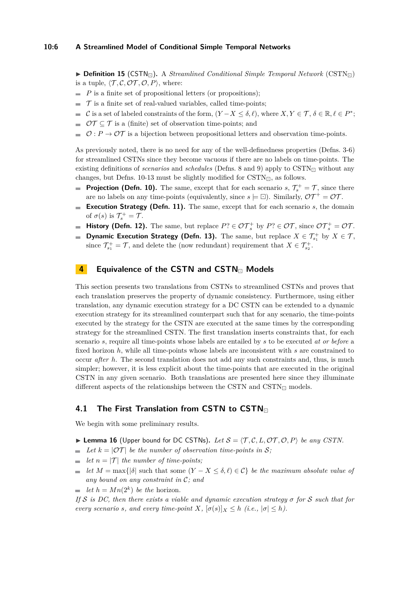## **10:6 A Streamlined Model of Conditional Simple Temporal Networks**

 $\triangleright$  **Definition 15** (CSTN<sub> $\sqcap$ </sub>). A *Streamlined Conditional Simple Temporal Network* (CSTN $\sqcap$ ) is a tuple,  $\langle \mathcal{T}, \mathcal{C}, \mathcal{OT}, \mathcal{O}, P \rangle$ , where:

- $\blacksquare$  *P* is a finite set of propositional letters (or propositions);
- $\mathcal T$  is a finite set of real-valued variables, called time-points;  $\equiv$
- C is a set of labeled constraints of the form,  $(Y X \le \delta, \ell)$ , where  $X, Y \in \mathcal{T}, \delta \in \mathbb{R}, \ell \in P^*$ ;
- $\mathcal{OT} \subset \mathcal{T}$  is a (finite) set of observation time-points; and
- $\mathcal{O}: P \to \mathcal{O} \mathcal{T}$  is a bijection between propositional letters and observation time-points.

As previously noted, there is no need for any of the well-definedness properties (Defns. [3-](#page-3-1)[6\)](#page-3-2) for streamlined CSTNs since they become vacuous if there are no labels on time-points. The existing definitions of *scenarios* and *schedules* (Defns. [8](#page-3-3) and [9\)](#page-3-4) apply to CSTN $\Box$  without any changes, but Defns. [10-](#page-3-5)[13](#page-4-0) must be slightly modified for  $\text{CSTN}_{\Box}$ , as follows.

- **Projection (Defn. [10\)](#page-3-5).** The same, except that for each scenario  $s, \mathcal{T}_{s}^{+} = \mathcal{T}$ , since there are no labels on any time-points (equivalently, since  $s \models \Box$ ). Similarly,  $\mathcal{OT}^+ = \mathcal{OT}$ .
- **Execution Strategy (Defn. [11\)](#page-3-6).** The same, except that for each scenario *s*, the domain m. of  $\sigma(s)$  is  $\mathcal{T}_s^+ = \mathcal{T}$ .
- **History (Defn. [12\)](#page-4-1).** The same, but replace  $P? \in \mathcal{OT}_s^+$  by  $P? \in \mathcal{OT}$ , since  $\mathcal{OT}_s^+ = \mathcal{OT}$ .  $\blacksquare$
- **Dynamic Execution Strategy (Defn. [13\)](#page-4-0).** The same, but replace  $X \in \mathcal{T}_{s_1}^+$  by  $X \in \mathcal{T}$ ,  $\blacksquare$ since  $\mathcal{T}_{s_1}^+ = \mathcal{T}$ , and delete the (now redundant) requirement that  $X \in \mathcal{T}_{s_2}^+$ .

# <span id="page-5-1"></span>**4 Equivalence of the CSTN and CSTN**<sub>n</sub> Models

This section presents two translations from CSTNs to streamlined CSTNs and proves that each translation preserves the property of dynamic consistency. Furthermore, using either translation, any dynamic execution strategy for a DC CSTN can be extended to a dynamic execution strategy for its streamlined counterpart such that for any scenario, the time-points executed by the strategy for the CSTN are executed at the same times by the corresponding strategy for the streamlined CSTN. The first translation inserts constraints that, for each scenario *s*, require all time-points whose labels are entailed by *s* to be executed *at or before* a fixed horizon *h*, while all time-points whose labels are inconsistent with *s* are constrained to occur *after h*. The second translation does not add any such constraints and, thus, is much simpler; however, it is less explicit about the time-points that are executed in the original CSTN in any given scenario. Both translations are presented here since they illuminate different aspects of the relationships between the CSTN and  $\text{CSTN}_{\Box}$  models.

# **4.1 The First Translation from CSTN to CSTN**

We begin with some preliminary results.

- <span id="page-5-0"></span>**Example 16** (Upper bound for DC CSTNs). Let  $S = \langle T, C, L, \mathcal{OT}, \mathcal{O}, P \rangle$  be any CSTN.
- $\blacktriangleright$  *Let*  $k = |OT|$  *be the number of observation time-points in* S;
- $\blacksquare$  *let*  $n = |\mathcal{T}|$  *the number of time-points;*
- $\overline{a}$ *let*  $M = \max\{|\delta| \text{ such that some } (Y - X \leq \delta, \ell) \in C\}$  *be the maximum absolute value of any bound on any constraint in* C*; and*
- *let*  $h = Mn(2^k)$  *be the* horizon.

*If* S *is DC, then there exists a viable and dynamic execution strategy σ for* S *such that for every scenario s, and every time-point*  $X$ *,*  $[\sigma(s)]_X \leq h$  (*i.e.,*  $|\sigma| \leq h$ *).*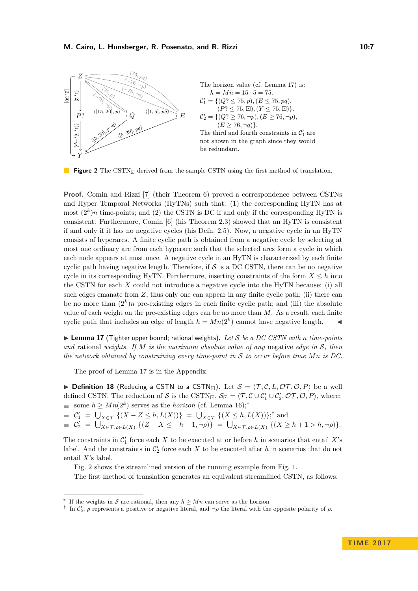<span id="page-6-3"></span>

**Figure 2** The CSTN<sub> $\Box$ </sub> derived from the sample CSTN using the first method of translation.

**Proof.** Comin and Rizzi [\[7\]](#page-15-3) (their Theorem 6) proved a correspondence between CSTNs and Hyper Temporal Networks (HyTNs) such that: (1) the corresponding HyTN has at most  $(2<sup>k</sup>)n$  time-points; and (2) the CSTN is DC if and only if the corresponding HyTN is consistent. Furthermore, Comin [\[6\]](#page-15-4) (his Theorem 2.3) showed that an HyTN is consistent if and only if it has no negative cycles (his Defn. 2.5). Now, a negative cycle in an HyTN consists of hyperarcs. A finite cyclic path is obtained from a negative cycle by selecting at most one ordinary arc from each hyperarc such that the selected arcs form a cycle in which each node appears at most once. A negative cycle in an HyTN is characterized by each finite cyclic path having negative length. Therefore, if  $S$  is a DC CSTN, there can be no negative cycle in its corresponding HyTN. Furthermore, inserting constraints of the form  $X \leq h$  into the CSTN for each *X* could not introduce a negative cycle into the HyTN because: (i) all such edges emanate from  $Z$ , thus only one can appear in any finite cyclic path; (ii) there can be no more than  $(2^k)n$  pre-existing edges in each finite cyclic path; and (iii) the absolute value of each weight on the pre-existing edges can be no more than *M*. As a result, each finite cyclic path that includes an edge of length  $h = Mn(2^k)$  cannot have negative length.

<span id="page-6-0"></span>▶ Lemma 17 (Tighter upper bound; rational weights). Let S be a DC CSTN with *n* time-points *and* rational *weights. If M is the maximum absolute value of any* negative *edge in* S*, then the network obtained by constraining every time-point in* S *to occur before time Mn is DC.*

The proof of Lemma [17](#page-6-0) is in the Appendix.

**Definition 18** (Reducing a CSTN to a CSTN<sub>E</sub>). Let  $S = \langle T, C, L, \mathcal{OT}, \mathcal{O}, P \rangle$  be a well defined CSTN. The reduction of S is the CSTN<sub> $\Box$ </sub>,  $S_{\Box} = \langle T, C \cup C_1' \cup C_2', \mathcal{OT}, \mathcal{O}, P \rangle$ , where: some  $h \geq Mn(2^k)$  serves as the *horizon* (cf. Lemma [16\)](#page-5-0);<sup>\*</sup>

 $C'_1 = \bigcup_{X \in \mathcal{T}} \{ (X - Z \le h, L(X)) \} = \bigcup_{X \in \mathcal{T}} \{ (X \le h, L(X)) \};^{\dagger}$  and

 $\mathcal{C}'_2 = \bigcup_{X \in \mathcal{T}, \rho \in L(X)} \{ (Z - X \leq -h - 1, \neg \rho) \} = \bigcup_{X \in \mathcal{T}, \rho \in L(X)} \{ (X \geq h + 1 > h, \neg \rho) \}.$ 

The constraints in  $\mathcal{C}'_1$  force each *X* to be executed at or before *h* in scenarios that entail *X*'s label. And the constraints in  $\mathcal{C}'_2$  force each X to be executed after h in scenarios that do not entail *X*'s label.

Fig. [2](#page-6-3) shows the streamlined version of the running example from Fig. [1.](#page-2-0)

The first method of translation generates an equivalent streamlined CSTN, as follows.

<span id="page-6-1"></span><sup>∗</sup> If the weights in S are rational, then any  $h \geq Mn$  can serve as the horizon.

<span id="page-6-2"></span><sup>&</sup>lt;sup>†</sup> In  $\mathcal{C}'_2$ ,  $\rho$  represents a positive or negative literal, and  $\neg \rho$  the literal with the opposite polarity of  $\rho$ .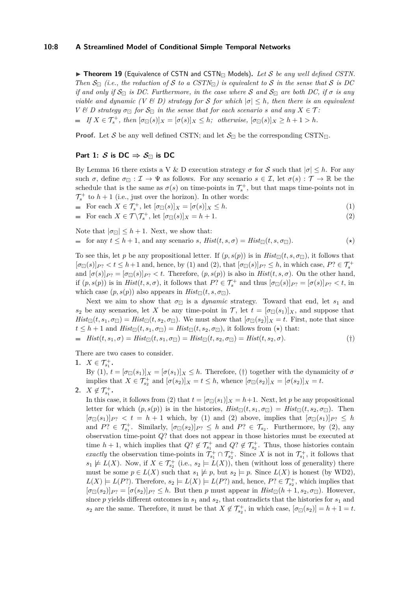## **10:8 A Streamlined Model of Conditional Simple Temporal Networks**

<span id="page-7-0"></span> $\triangleright$  **Theorem 19** (Equivalence of CSTN and CSTN<sub>m</sub> Models). Let S be any well defined CSTN. *Then*  $S_{\Box}$  (*i.e., the reduction of* S *to a CSTN* $_{\Box}$ ) *is equivalent to* S *in the sense that* S *is* DC *if and only if*  $S_{\Box}$  *is DC. Furthermore, in the case where* S and  $S_{\Box}$  are both DC, if  $\sigma$  *is any viable and dynamic (V*  $\&$  *D) strategy for* S *for which*  $|\sigma| \leq h$ *, then there is an equivalent V*  $\&$  *D* strategy  $\sigma_{\Box}$  for  $S_{\Box}$  in the sense that for each scenario *s* and any  $X \in \mathcal{T}$ :  $If X \in \mathcal{T}_{s}^{+}, then$   $[\sigma_{\Box}(s)]_{X} = [\sigma(s)]_{X} \leq h$ ; otherwise,  $[\sigma_{\Box}(s)]_{X} \geq h + 1 > h$ .

**Proof.** Let S be any well defined CSTN; and let  $S_{\Box}$  be the corresponding CSTN<sub> $\Box$ </sub>.

## **Part 1:**  $S$  is DC  $\Rightarrow$   $S_{\Box}$  is DC

By Lemma [16](#page-5-0) there exists a V & D execution strategy  $\sigma$  for S such that  $|\sigma| \leq h$ . For any such  $\sigma$ , define  $\sigma_{\Box} : \mathcal{I} \to \Psi$  as follows. For any scenario  $s \in \mathcal{I}$ , let  $\sigma(s) : \mathcal{T} \to \mathbb{R}$  be the schedule that is the same as  $\sigma(s)$  on time-points in  $\mathcal{T}_{s}^{+}$ , but that maps time-points not in  $\mathcal{T}_{s}^{+}$  to  $h+1$  (i.e., just over the horizon). In other words:

• For each 
$$
X \in \mathcal{T}_s^+
$$
, let  $[\sigma_{\Box}(s)]_X = [\sigma(s)]_X \leq h$ .  
\n• For each  $X \in \mathcal{T} \setminus \mathcal{T}_s^+$ , let  $[\sigma_{\Box}(s)]_X = h + 1$ .  
\n(2)

For each 
$$
X \in \mathcal{T} \backslash \mathcal{T}_{s}^{+}
$$
, let  $[\sigma_{\Box}(s)]_{X} = h + 1$ . (2)

Note that  $|\sigma_{\Box}| \leq h + 1$ . Next, we show that:

$$
\text{for any } t \le h+1 \text{, and any scenario } s, \text{ } \text{Hist}(t, s, \sigma) = \text{Hist}_{\square}(t, s, \sigma_{\square}). \tag{*}
$$

To see this, let *p* be any propositional letter. If  $(p, s(p))$  is in  $Hist_{\Box}(t, s, \sigma_{\Box})$ , it follows that  $[\sigma_{\Box}(s)]_{P}$  ?  $\lt t \leq h+1$  and, hence, by (1) and (2), that  $[\sigma_{\Box}(s)]_{P}$  ?  $\leq h$ , in which case,  $P$ ?  $\in \mathcal{T}_{s}^{+}$ and  $[\sigma(s)]_{P}$  ? =  $[\sigma_{\Box}(s)]_{P}$  ? *< t*. Therefore,  $(p, s(p))$  is also in  $Hist(t, s, \sigma)$ . On the other hand, if  $(p, s(p))$  is in  $Hist(t, s, \sigma)$ , it follows that  $P$ ?  $\in \mathcal{T}_{s}^{+}$  and thus  $[\sigma_{\Box}(s)]_{P}$ ?  $=[\sigma(s)]_{P}$ ?  $\lt t$ , in which case  $(p, s(p))$  also appears in  $Hist_{\Box}(t, s, \sigma_{\Box}).$ 

Next we aim to show that  $\sigma_{\Box}$  is a *dynamic* strategy. Toward that end, let  $s_1$  and *s*<sub>2</sub> be any scenarios, let *X* be any time-point in *T*, let  $t = [\sigma_{\Box}(s_1)]_X$ , and suppose that  $Hist_{\Box}(t, s_1, \sigma_{\Box}) = Hist_{\Box}(t, s_2, \sigma_{\Box})$ . We must show that  $[\sigma_{\Box}(s_2)]_X = t$ . First, note that since  $t \leq h+1$  and  $Hist_{\Box}(t, s_1, \sigma_{\Box}) = Hist_{\Box}(t, s_2, \sigma_{\Box})$ , it follows from  $(\star)$  that:

$$
= Hist(t, s_1, \sigma) = Hist_{\Box}(t, s_1, \sigma_{\Box}) = Hist_{\Box}(t, s_2, \sigma_{\Box}) = Hist(t, s_2, \sigma). \tag{†}
$$

There are two cases to consider.

**1.**  $X \in \mathcal{T}_{s_1}^+$ .

By (1),  $t = [\sigma_{\Box}(s_1)]_X = [\sigma(s_1)]_X \leq h$ . Therefore, (†) together with the dynamicity of  $\sigma$ implies that  $X \in \mathcal{T}_{s_2}^+$  and  $[\sigma(s_2)]_X = t \leq h$ , whence  $[\sigma_{\Box}(s_2)]_X = [\sigma(s_2)]_X = t$ .

**2.**  $X \notin \mathcal{T}_{s_1}^+$ .

In this case, it follows from (2) that  $t = [\sigma_{\Box}(s_1)]_X = h+1$ . Next, let *p* be any propositional letter for which  $(p, s(p))$  is in the histories,  $Hist_{\Box}(t, s_1, \sigma_{\Box}) = Hist_{\Box}(t, s_2, \sigma_{\Box})$ . Then  $[\sigma_{\Box}(s_1)]_{P}$  <  $t = h + 1$  which, by (1) and (2) above, implies that  $[\sigma_{\Box}(s_1)]_{P} \leq h$ and  $P? \in \mathcal{T}_{s_1}^+$ . Similarly,  $[\sigma_{\Box}(s_2)]_{P?} \leq h$  and  $P? \in \mathcal{T}_{s_2}$ . Furthermore, by (2), any observation time-point *Q*? that does not appear in those histories must be executed at time  $h + 1$ , which implies that  $Q$ ?  $\notin \mathcal{T}_{s_1}^+$  and  $Q$ ?  $\notin \mathcal{T}_{s_2}^+$ . Thus, those histories contain *exactly* the observation time-points in  $\mathcal{T}_{s_1}^+ \cap \mathcal{T}_{s_2}^+$ . Since *X* is not in  $\mathcal{T}_{s_1}^+$ , it follows that  $s_1 \not\models L(X)$ . Now, if  $X \in \mathcal{T}_{s_2}^+$  (i.e.,  $s_2 \models L(X)$ ), then (without loss of generality) there must be some  $p \in L(X)$  such that  $s_1 \not\models p$ , but  $s_2 \models p$ . Since  $L(X)$  is honest (by WD2),  $L(X) \models L(P?)$ . Therefore,  $s_2 \models L(X) \models L(P?)$  and, hence,  $P? \in \mathcal{T}^+_{s_2}$ , which implies that  $[\sigma_{\Box}(s_2)]_{P} = [\sigma(s_2)]_{P} \leq h$ . But then *p* must appear in  $Hist_{\Box}(h+1, s_2, \sigma_{\Box})$ . However, since *p* yields different outcomes in *s*<sup>1</sup> and *s*2, that contradicts that the histories for *s*<sup>1</sup> and  $s_2$  are the same. Therefore, it must be that  $X \notin \mathcal{T}_{s_2}^+$ , in which case,  $[\sigma_{\Box}(s_2)] = h + 1 = t$ .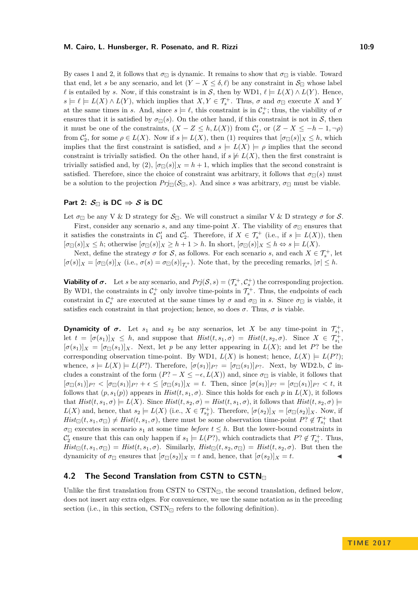### **M. Cairo, L. Hunsberger, R. Posenato, and R. Rizzi 10:9** 10:9

By cases 1 and 2, it follows that  $\sigma_{\Box}$  is dynamic. It remains to show that  $\sigma_{\Box}$  is viable. Toward that end, let *s* be any scenario, and let  $(Y - X \le \delta, \ell)$  be any constraint in  $\mathcal{S}_{\Box}$  whose label *ℓ* is entailed by *s*. Now, if this constraint is in S, then by WD1,  $ℓ$   $\models$   $L(X) \wedge L(Y)$ . Hence,  $s \models \ell \models L(X) \land L(Y)$ , which implies that  $X, Y \in \mathcal{T}_{s}^{+}$ . Thus,  $\sigma$  and  $\sigma_{\Box}$  execute *X* and *Y* at the same times in *s*. And, since  $s \models \ell$ , this constraint is in  $\mathcal{C}_s^+$ ; thus, the viability of  $\sigma$ ensures that it is satisfied by  $\sigma_{\Box}(s)$ . On the other hand, if this constraint is not in S, then it must be one of the constraints,  $(X - Z \leq h, L(X))$  from  $\mathcal{C}'_1$ , or  $(Z - X \leq -h-1, \neg \rho)$ from  $\mathcal{C}'_2$ , for some  $\rho \in L(X)$ . Now if  $s \models L(X)$ , then (1) requires that  $[\sigma_{\Box}(s)]_X \leq h$ , which implies that the first constraint is satisfied, and  $s = L(X) = \rho$  implies that the second constraint is trivially satisfied. On the other hand, if  $s \neq L(X)$ , then the first constraint is trivially satisfied and, by (2),  $[\sigma_{\Pi}(s)]_X = h + 1$ , which implies that the second constraint is satisfied. Therefore, since the choice of constraint was arbitrary, it follows that  $\sigma_{\Box}(s)$  must be a solution to the projection  $Prj_{\Box}(\mathcal{S}_{\Box}, s)$ . And since *s* was arbitrary,  $\sigma_{\Box}$  must be viable.

## **Part 2:**  $S_{\square}$  is DC  $\Rightarrow$  S is DC

Let  $\sigma_{\Box}$  be any V & D strategy for  $\mathcal{S}_{\Box}$ . We will construct a similar V & D strategy  $\sigma$  for S.

First, consider any scenario *s*, and any time-point *X*. The viability of  $\sigma_{\Box}$  ensures that it satisfies the constraints in  $\mathcal{C}'_1$  and  $\mathcal{C}'_2$ . Therefore, if  $X \in \mathcal{T}^+_s$  (i.e., if  $s \models L(X)$ ), then  $[\sigma_{\Box}(s)]_X \leq h$ ; otherwise  $[\sigma_{\Box}(s)]_X \geq h+1 > h$ . In short,  $[\sigma_{\Box}(s)]_X \leq h \Leftrightarrow s \models L(X)$ .

Next, define the strategy  $\sigma$  for  $S$ , as follows. For each scenario *s*, and each  $X \in \mathcal{T}_{s}^{+}$ , let  $[\sigma(s)]_X = [\sigma_{\Box}(s)]_X$  (i.e.,  $\sigma(s) = \sigma_{\Box}(s)|_{\mathcal{T}_{s}^+}$ ). Note that, by the preceding remarks,  $|\sigma| \leq h$ .

**Viability of**  $\sigma$ **.** Let *s* be any scenario, and  $Prj(S, s) = (\mathcal{T}_{s}^{+}, \mathcal{C}_{s}^{+})$  the corresponding projection. By WD1, the constraints in  $\mathcal{C}_s^+$  only involve time-points in  $\mathcal{T}_s^+$ . Thus, the endpoints of each constraint in  $C_s^+$  are executed at the same times by  $\sigma$  and  $\sigma_{\Box}$  in *s*. Since  $\sigma_{\Box}$  is viable, it satisfies each constraint in that projection; hence, so does  $\sigma$ . Thus,  $\sigma$  is viable.

**Dynamicity of**  $\sigma$ **.** Let  $s_1$  and  $s_2$  be any scenarios, let *X* be any time-point in  $\mathcal{T}_{s_1}^+$ , let  $t = [\sigma(s_1)]_X \leq h$ , and suppose that  $Hist(t, s_1, \sigma) = Hist(t, s_2, \sigma)$ . Since  $X \in \mathcal{T}_{s_1}^+$ ,  $[\sigma(s_1)]_X = [\sigma_{\Box}(s_1)]_X$ . Next, let *p* be any letter appearing in  $L(X)$ ; and let *P*? be the corresponding observation time-point. By WD1,  $L(X)$  is honest; hence,  $L(X) \models L(P?);$ whence,  $s \models L(X) \models L(P?)$ . Therefore,  $[\sigma(s_1)]_{P?} = [\sigma_{\Box}(s_1)]_{P?}$ . Next, by WD2.b, C includes a constraint of the form  $(P? - X \leq -\epsilon, L(X))$  and, since  $\sigma_{\Box}$  is viable, it follows that  $[\sigma_{\Box}(s_1)]_{P^?} < [\sigma_{\Box}(s_1)]_{P^?} + \epsilon \leq [\sigma_{\Box}(s_1)]_X = t$ . Then, since  $[\sigma(s_1)]_{P^?} = [\sigma_{\Box}(s_1)]_{P^?} < t$ , it follows that  $(p, s_1(p))$  appears in  $Hist(t, s_1, \sigma)$ . Since this holds for each p in  $L(X)$ , it follows that  $Hist(t, s_1, \sigma) \models L(X)$ . Since  $Hist(t, s_2, \sigma) = Hist(t, s_1, \sigma)$ , it follows that  $Hist(t, s_2, \sigma) \models$  $L(X)$  and, hence, that  $s_2 \models L(X)$  (i.e.,  $X \in \mathcal{T}_{s_2}^+$ ). Therefore,  $[\sigma(s_2)]_X = [\sigma_{\Box}(s_2)]_X$ . Now, if  $Hist_{\Box}(t, s_1, \sigma_{\Box}) \neq Hist(t, s_1, \sigma)$ , there must be some observation time-point  $P$ ?  $\not\in \mathcal{T}_{s_1}^+$  that  $\sigma_{\Box}$  executes in scenario  $s_1$  at some time *before*  $t \leq h$ . But the lower-bound constraints in  $\mathcal{C}'_2$  ensure that this can only happen if  $s_1 \models L(P?)$ , which contradicts that  $P? \notin \mathcal{T}^+_{s_1}$ . Thus,  $Hist_{\Box}(t, s_1, \sigma_{\Box}) = Hist(t, s_1, \sigma)$ . Similarly,  $Hist_{\Box}(t, s_2, \sigma_{\Box}) = Hist(t, s_2, \sigma)$ . But then the dynamicity of  $\sigma_{\Box}$  ensures that  $[\sigma_{\Box}(s_2)]_X = t$  and, hence, that  $[\sigma(s_2)]_X = t$ .

# **4.2 The Second Translation from CSTN to CSTN**

Unlike the first translation from CSTN to  $\text{CSTN}_{\Box}$ , the second translation, defined below, does not insert any extra edges. For convenience, we use the same notation as in the preceding section (i.e., in this section,  $\text{CSTN}_{\square}$  refers to the following definition).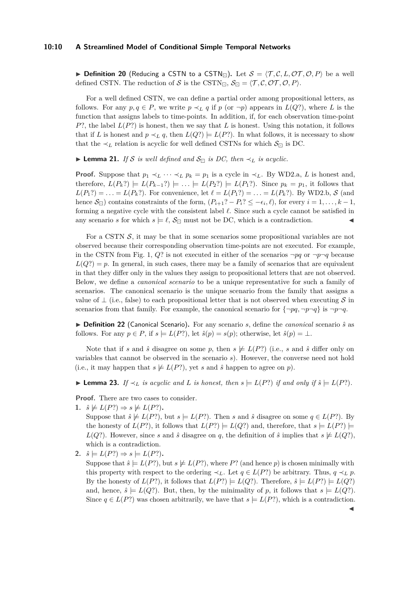#### **10:10 A Streamlined Model of Conditional Simple Temporal Networks**

**Definition 20** (Reducing a CSTN to a CSTN<sub> $\Box$ </sub>). Let  $S = \langle T, C, L, \mathcal{OT}, \mathcal{O}, P \rangle$  be a well defined CSTN. The reduction of S is the CSTN<sub>E</sub>,  $S_{\Box} = \langle T, C, \mathcal{OT}, \mathcal{O}, P \rangle$ .

For a well defined CSTN, we can define a partial order among propositional letters, as follows. For any  $p, q \in P$ , we write  $p \prec_L q$  if  $p$  (or  $\neg p$ ) appears in  $L(Q?)$ , where L is the function that assigns labels to time-points. In addition, if, for each observation time-point  $P$ ?, the label  $L(P)$  is honest, then we say that *L* is honest. Using this notation, it follows that if *L* is honest and  $p \prec_L q$ , then  $L(Q^2) \models L(P^2)$ . In what follows, it is necessary to show that the  $\prec_L$  relation is acyclic for well defined CSTNs for which  $\mathcal{S}_{\Box}$  is DC.

<span id="page-9-1"></span>**► Lemma 21.** *If* S *is well defined and*  $S_{\square}$  *is DC, then*  $\prec_L$  *is acyclic.* 

**Proof.** Suppose that  $p_1 \prec_L \cdots \prec_L p_k = p_1$  is a cycle in  $\prec_L$ . By WD2.a, *L* is honest and, therefore,  $L(P_k?) \models L(P_{k-1}?) \models \ldots \models L(P_2?) \models L(P_1?)$ . Since  $p_k = p_1$ , it follows that  $L(P_1?) = \ldots = L(P_k?)$ . For convenience, let  $\ell = L(P_1?) = \ldots = L(P_k?)$ . By WD2.b, S (and hence  $\mathcal{S}_{\Box}$ ) contains constraints of the form,  $(P_{i+1}$ ? –  $P_i$ ?  $\leq -\epsilon_i$ ,  $\ell$ ), for every  $i = 1, \ldots, k - 1$ , forming a negative cycle with the consistent label  $\ell$ . Since such a cycle cannot be satisfied in any scenario *s* for which  $s \models \ell$ ,  $\mathcal{S}_{\Box}$  must not be DC, which is a contradiction.

For a CSTN  $S$ , it may be that in some scenarios some propositional variables are not observed because their corresponding observation time-points are not executed. For example, in the CSTN from Fig. [1,](#page-2-0)  $Q$ ? is not executed in either of the scenarios  $\neg pq$  or  $\neg p \neg q$  because  $L(Q?) = p$ . In general, in such cases, there may be a family of scenarios that are equivalent in that they differ only in the values they assign to propositional letters that are not observed. Below, we define a *canonical scenario* to be a unique representative for such a family of scenarios. The canonical scenario is the unique scenario from the family that assigns a value of  $\perp$  (i.e., false) to each propositional letter that is not observed when executing S in scenarios from that family. For example, the canonical scenario for  $\{\neg pq, \neg p \neg q\}$  is  $\neg p \neg q$ .

▶ **Definition 22** (Canonical Scenario). For any scenario *s*, define the *canonical* scenario  $\hat{s}$  as follows. For any  $p \in P$ , if  $s \models L(P?)$ , let  $\hat{s}(p) = s(p)$ ; otherwise, let  $\hat{s}(p) = \bot$ .

Note that if *s* and  $\hat{s}$  disagree on some *p*, then  $s \not\models L(P?)$  (i.e., *s* and  $\hat{s}$  differ only on variables that cannot be observed in the scenario *s*). However, the converse need not hold (i.e., it may happen that  $s \not\models L(P?)$ , yet *s* and  $\hat{s}$  happen to agree on *p*).

<span id="page-9-0"></span>► **Lemma 23.** *If*  $\prec_L$  *is acyclic and L is honest, then*  $s \models L(P?)$  *if and only if*  $\hat{s} \models L(P?)$ *.* 

**Proof.** There are two cases to consider.

1.  $\hat{s} \not\models L(P? \Rightarrow s \not\models L(P?).$ 

Suppose that  $\hat{s} \not\models L(P?)$ , but  $s \models L(P')$ . Then *s* and  $\hat{s}$  disagree on some  $q \in L(P')$ . By the honesty of  $L(P?)$ , it follows that  $L(P?) \models L(Q?)$  and, therefore, that  $s \models L(P?) \models$ *L*(*Q*?). However, since *s* and  $\hat{s}$  disagree on *q*, the definition of  $\hat{s}$  implies that  $s \not\models L(Q)$ , which is a contradiction.

2.  $\hat{s} \models L(P? \Rightarrow s \models L(P?).$ 

Suppose that  $\hat{s} \models L(P)$ , but  $s \not\models L(P)$ , where P? (and hence p) is chosen minimally with this property with respect to the ordering  $\prec_L$ . Let  $q \in L(P)$  be arbitrary. Thus,  $q \prec_L p$ . By the honesty of  $L(P?)$ , it follows that  $L(P?) \models L(Q')$ . Therefore,  $\hat{s} \models L(P?) \models L(Q')$ and, hence,  $\hat{s} \models L(Q)$ . But, then, by the minimality of p, it follows that  $s \models L(Q)$ . Since  $q \in L(P)$  was chosen arbitrarily, we have that  $s = L(P)$ , which is a contradiction.

 $\blacktriangleleft$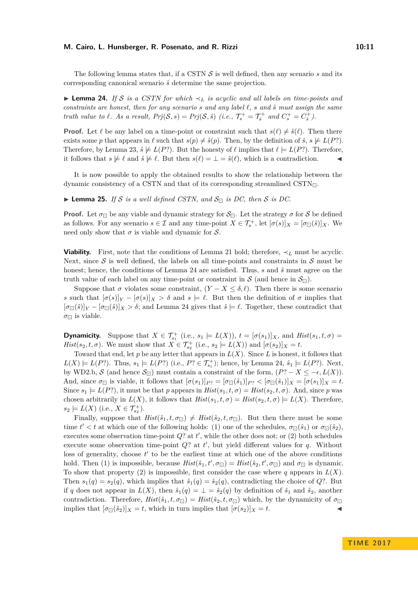#### **M. Cairo, L. Hunsberger, R. Posenato, and R. Rizzi 10:11**

The following lemma states that, if a CSTN S is well defined, then any scenario *s* and its corresponding canonical scenario *s*ˆ determine the same projection.

<span id="page-10-0"></span>I **Lemma 24.** *If* S *is a CSTN for which* ≺*<sup>L</sup> is acyclic and all labels on time-points and constraints are honest, then for any scenario s and any label `, s and s*ˆ *must assign the same truth value to*  $\ell$ *. As a result,*  $Prj(S, s) = Prj(S, \hat{s})$  (*i.e.,*  $\mathcal{T}_{s}^{+} = \mathcal{T}_{\hat{s}}^{+}$  and  $C_{s}^{+} = C_{\hat{s}}^{+}$ ).

**Proof.** Let  $\ell$  be any label on a time-point or constraint such that  $s(\ell) \neq \hat{s}(\ell)$ . Then there exists some *p* that appears in  $\ell$  such that  $s(p) \neq \hat{s}(p)$ . Then, by the definition of  $\hat{s}$ ,  $s \not\models L(P?)$ . Therefore, by Lemma [23,](#page-9-0)  $\hat{s} \not\models L(P?)$ . But the honesty of  $\ell$  implies that  $\ell \models L(P?)$ . Therefore, it follows that  $s \not\models \ell$  and  $\hat{s} \not\models \ell$ . But then  $s(\ell) = \bot = \hat{s}(\ell)$ , which is a contradiction.

It is now possible to apply the obtained results to show the relationship between the dynamic consistency of a CSTN and that of its corresponding streamlined  $\text{CSTN}_{\Box}$ .

<span id="page-10-1"></span> $\blacktriangleright$  **Lemma 25.** *If* S *is a well defined CSTN, and*  $S_{\square}$  *is DC, then* S *is DC*.

**Proof.** Let  $\sigma_{\Box}$  be any viable and dynamic strategy for  $S_{\Box}$ . Let the strategy  $\sigma$  for S be defined as follows. For any scenario  $s \in \mathcal{I}$  and any time-point  $X \in \mathcal{T}_{s}^{+}$ , let  $[\sigma(s)]_X = [\sigma_{\Box}(\hat{s})]_X$ . We need only show that  $\sigma$  is viable and dynamic for  $\mathcal{S}$ .

**Viability.** First, note that the conditions of Lemma [21](#page-9-1) hold; therefore,  $\prec_L$  must be acyclic. Next, since  $S$  is well defined, the labels on all time-points and constraints in  $S$  must be honest; hence, the conditions of Lemma [24](#page-10-0) are satisfied. Thus, *s* and *s*ˆ must agree on the truth value of each label on any time-point or constraint in S (and hence in  $\mathcal{S}_{\Box}$ ).

Suppose that  $\sigma$  violates some constraint,  $(Y - X \leq \delta, \ell)$ . Then there is some scenario *s* such that  $[\sigma(s)]_Y - [\sigma(s)]_X > \delta$  and  $s \models \ell$ . But then the definition of  $\sigma$  implies that  $[\sigma_{\Box}(\hat{s})]_Y - [\sigma_{\Box}(\hat{s})]_X > \delta$ ; and Lemma [24](#page-10-0) gives that  $\hat{s} \models \ell$ . Together, these contradict that  $\sigma_{\square}$  is viable.

**Dynamicity.** Suppose that  $X \in \mathcal{T}_{s_1}^+$  (i.e.,  $s_1 \models L(X)$ ),  $t = [\sigma(s_1)]_X$ , and  $Hist(s_1, t, \sigma)$ *Hist*(*s*<sub>2</sub>, *t*, *σ*). We must show that  $X \in \mathcal{T}_{s_2}^+$  (i.e.,  $s_2 \models L(X)$ ) and  $[\sigma(s_2)]_X = t$ .

Toward that end, let  $p$  be any letter that appears in  $L(X)$ . Since  $L$  is honest, it follows that  $L(X) \models L(P?)$ . Thus,  $s_1 \models L(P?)$  (i.e.,  $P? \in \mathcal{T}_{s_1}^+$ ); hence, by Lemma [24,](#page-10-0)  $\hat{s}_1 \models L(P?)$ . Next, by WD2.b, S (and hence  $S_{\square}$ ) must contain a constraint of the form,  $(P? - X \leq -\epsilon, L(X))$ . And, since  $\sigma_{\Box}$  is viable, it follows that  $[\sigma(s_1)]_{P} = [\sigma_{\Box}(\hat{s}_1)]_{P} \leq [\sigma_{\Box}(\hat{s}_1)]_X = [\sigma(s_1)]_X = t$ . Since  $s_1 \models L(P?)$ , it must be that *p* appears in  $Hist(s_1, t, \sigma) = Hist(s_2, t, \sigma)$ . And, since *p* was chosen arbitrarily in  $L(X)$ , it follows that  $Hist(s_1, t, \sigma) = Hist(s_2, t, \sigma) \models L(X)$ . Therefore,  $s_2 \models L(X)$  (i.e.,  $X \in \mathcal{T}_{s_2}^+$ ).

Finally, suppose that  $Hist(\hat{s}_1, t, \sigma_{\Box}) \neq Hist(\hat{s}_2, t, \sigma_{\Box})$ . But then there must be some time  $t' < t$  at which one of the following holds: (1) one of the schedules,  $\sigma_{\Box}(\hat{s}_1)$  or  $\sigma_{\Box}(\hat{s}_2)$ , executes some observation time-point  $Q$ ? at  $t'$ , while the other does not; or  $(2)$  both schedules execute some observation time-point  $Q$ ? at  $t'$ , but yield different values for  $q$ . Without loss of generality, choose  $t'$  to be the earliest time at which one of the above conditions hold. Then (1) is impossible, because  $Hist(\hat{s}_1, t', \sigma_{\Box}) = Hist(\hat{s}_2, t', \sigma_{\Box})$  and  $\sigma_{\Box}$  is dynamic. To show that property (2) is impossible, first consider the case where  $q$  appears in  $L(X)$ . Then  $s_1(q) = s_2(q)$ , which implies that  $\hat{s}_1(q) = \hat{s}_2(q)$ , contradicting the choice of *Q*?. But if *q* does not appear in  $L(X)$ , then  $\hat{s}_1(q) = \perp \hat{s}_2(q)$  by definition of  $\hat{s}_1$  and  $\hat{s}_2$ , another contradiction. Therefore,  $Hist(\hat{s}_1, t, \sigma_{\Box}) = Hist(\hat{s}_2, t, \sigma_{\Box})$  which, by the dynamicity of  $\sigma_{\Box}$ implies that  $[\sigma_{\Box}(\hat{s}_2)]_X = t$ , which in turn implies that  $[\sigma(s_2)]_X = t$ .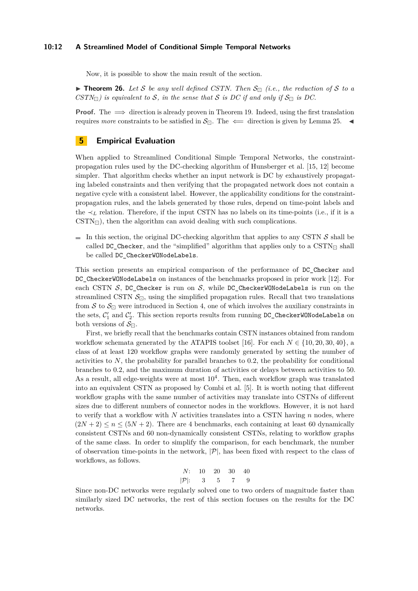## **10:12 A Streamlined Model of Conditional Simple Temporal Networks**

Now, it is possible to show the main result of the section.

**Theorem 26.** Let S be any well defined CSTN. Then  $S_{\Box}$  (i.e., the reduction of S to a *CSTN* $_{\Box}$ ) is equivalent to *S*, in the sense that *S* is *DC* if and only if  $S_{\Box}$  is *DC*.

**Proof.** The  $\implies$  direction is already proven in Theorem [19.](#page-7-0) Indeed, using the first translation requires *more* constraints to be satisfied in  $S_{\Box}$ . The  $\Leftarrow$  direction is given by Lemma [25.](#page-10-1)

# **5 Empirical Evaluation**

When applied to Streamlined Conditional Simple Temporal Networks, the constraintpropagation rules used by the DC-checking algorithm of Hunsberger et al. [\[15,](#page-15-2) [12\]](#page-15-5) become simpler. That algorithm checks whether an input network is DC by exhaustively propagating labeled constraints and then verifying that the propagated network does not contain a negative cycle with a consistent label. However, the applicability conditions for the constraintpropagation rules, and the labels generated by those rules, depend on time-point labels and the  $\prec_L$  relation. Therefore, if the input CSTN has no labels on its time-points (i.e., if it is a  $\text{CSTN}_{\Box}$ , then the algorithm can avoid dealing with such complications.

In this section, the original DC-checking algorithm that applies to any CSTN  $S$  shall be called DC\_Checker, and the "simplified" algorithm that applies only to a  $\text{CSTN}_{\Box}$  shall be called DC\_CheckerWONodeLabels.

This section presents an empirical comparison of the performance of DC\_Checker and DC\_CheckerWONodeLabels on instances of the benchmarks proposed in prior work [\[12\]](#page-15-5). For each CSTN  $S$ , DC\_Checker is run on  $S$ , while DC\_CheckerWONodeLabels is run on the streamlined CSTN  $S_{\Box}$ , using the simplified propagation rules. Recall that two translations from S to  $S_{\Box}$  were introduced in Section [4,](#page-5-1) one of which involves the auxiliary constraints in the sets,  $C'_1$  and  $C'_2$ . This section reports results from running DC\_CheckerWONodeLabels on both versions of  $S_{\square}$ .

First, we briefly recall that the benchmarks contain CSTN instances obtained from random workflow schemata generated by the ATAPIS toolset [\[16\]](#page-16-1). For each  $N \in \{10, 20, 30, 40\}$ , a class of at least 120 workflow graphs were randomly generated by setting the number of activities to *N*, the probability for parallel branches to 0*.*2, the probability for conditional branches to 0*.*2, and the maximum duration of activities or delays between activities to 50. As a result, all edge-weights were at most  $10<sup>4</sup>$ . Then, each workflow graph was translated into an equivalent CSTN as proposed by Combi et al. [\[5\]](#page-15-6). It is worth noting that different workflow graphs with the same number of activities may translate into CSTNs of different sizes due to different numbers of connector nodes in the workflows. However, it is not hard to verify that a workflow with *N* activities translates into a CSTN having *n* nodes, where  $(2N + 2) \le n \le (5N + 2)$ . There are 4 benchmarks, each containing at least 60 dynamically consistent CSTNs and 60 non-dynamically consistent CSTNs, relating to workflow graphs of the same class. In order to simplify the comparison, for each benchmark, the number of observation time-points in the network,  $|\mathcal{P}|$ , has been fixed with respect to the class of workflows, as follows.

$$
N: \quad 10 \quad 20 \quad 30 \quad 40|\mathcal{P}|: \quad 3 \quad 5 \quad 7 \quad 9
$$

Since non-DC networks were regularly solved one to two orders of magnitude faster than similarly sized DC networks, the rest of this section focuses on the results for the DC networks.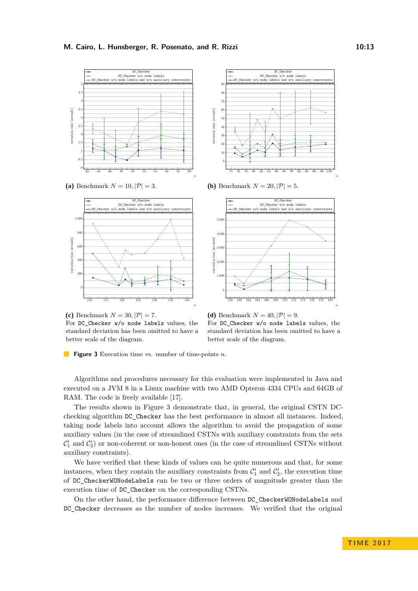<span id="page-12-0"></span>







**(b)** Benchmark  $N = 20, |\mathcal{P}| = 5$ .





**(d)** Benchmark  $N = 40, |\mathcal{P}| = 9$ . For DC Checker w/o node labels values, the standard deviation has been omitted to have a better scale of the diagram.

**Figure 3** Execution time vs. number of time-points *n*.

Algorithms and procedures necessary for this evaluation were implemented in Java and executed on a JVM 8 in a Linux machine with two AMD Opteron 4334 CPUs and 64GB of RAM. The code is freely available [\[17\]](#page-16-2).

The results shown in [Figure 3](#page-12-0) demonstrate that, in general, the original CSTN DCchecking algorithm DC\_Checker has the best performance in almost all instances. Indeed, taking node labels into account allows the algorithm to avoid the propagation of some auxiliary values (in the case of streamlined CSTNs with auxiliary constraints from the sets  $\mathcal{C}'_1$  and  $\mathcal{C}'_2$ ) or non-coherent or non-honest ones (in the case of streamlined CSTNs without auxiliary constraints).

We have verified that these kinds of values can be quite numerous and that, for some instances, when they contain the auxiliary constraints from  $\mathcal{C}'_1$  and  $\mathcal{C}'_2$ , the execution time of DC\_CheckerWONodeLabels can be two or three orders of magnitude greater than the execution time of DC\_Checker on the corresponding CSTNs.

On the other hand, the performance difference between DC\_CheckerWONodeLabels and DC\_Checker decreases as the number of nodes increases. We verified that the original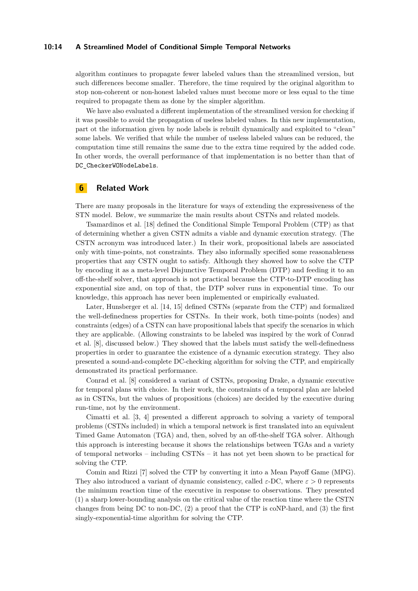### **10:14 A Streamlined Model of Conditional Simple Temporal Networks**

algorithm continues to propagate fewer labeled values than the streamlined version, but such differences become smaller. Therefore, the time required by the original algorithm to stop non-coherent or non-honest labeled values must become more or less equal to the time required to propagate them as done by the simpler algorithm.

We have also evaluated a different implementation of the streamlined version for checking if it was possible to avoid the propagation of useless labeled values. In this new implementation, part ot the information given by node labels is rebuilt dynamically and exploited to "clean" some labels. We verified that while the number of useless labeled values can be reduced, the computation time still remains the same due to the extra time required by the added code. In other words, the overall performance of that implementation is no better than that of DC CheckerWONodeLabels.

## **6 Related Work**

There are many proposals in the literature for ways of extending the expressiveness of the STN model. Below, we summarize the main results about CSTNs and related models.

Tsamardinos et al. [\[18\]](#page-16-0) defined the Conditional Simple Temporal Problem (CTP) as that of determining whether a given CSTN admits a viable and dynamic execution strategy. (The CSTN acronym was introduced later.) In their work, propositional labels are associated only with time-points, not constraints. They also informally specified some reasonableness properties that any CSTN ought to satisfy. Although they showed how to solve the CTP by encoding it as a meta-level Disjunctive Temporal Problem (DTP) and feeding it to an off-the-shelf solver, that approach is not practical because the CTP-to-DTP encoding has exponential size and, on top of that, the DTP solver runs in exponential time. To our knowledge, this approach has never been implemented or empirically evaluated.

Later, Hunsberger et al. [\[14,](#page-15-7) [15\]](#page-15-2) defined CSTNs (separate from the CTP) and formalized the well-definedness properties for CSTNs. In their work, both time-points (nodes) and constraints (edges) of a CSTN can have propositional labels that specify the scenarios in which they are applicable. (Allowing constraints to be labeled was inspired by the work of Conrad et al. [\[8\]](#page-15-8), discussed below.) They showed that the labels must satisfy the well-definedness properties in order to guarantee the existence of a dynamic execution strategy. They also presented a sound-and-complete DC-checking algorithm for solving the CTP, and empirically demonstrated its practical performance.

Conrad et al. [\[8\]](#page-15-8) considered a variant of CSTNs, proposing Drake, a dynamic executive for temporal plans with choice. In their work, the constraints of a temporal plan are labeled as in CSTNs, but the values of propositions (choices) are decided by the executive during run-time, not by the environment.

Cimatti et al. [\[3,](#page-15-9) [4\]](#page-15-10) presented a different approach to solving a variety of temporal problems (CSTNs included) in which a temporal network is first translated into an equivalent Timed Game Automaton (TGA) and, then, solved by an off-the-shelf TGA solver. Although this approach is interesting because it shows the relationships between TGAs and a variety of temporal networks – including CSTNs – it has not yet been shown to be practical for solving the CTP.

Comin and Rizzi [\[7\]](#page-15-3) solved the CTP by converting it into a Mean Payoff Game (MPG). They also introduced a variant of dynamic consistency, called  $\varepsilon$ -DC, where  $\varepsilon > 0$  represents the minimum reaction time of the executive in response to observations. They presented (1) a sharp lower-bounding analysis on the critical value of the reaction time where the CSTN changes from being DC to non-DC, (2) a proof that the CTP is coNP-hard, and (3) the first singly-exponential-time algorithm for solving the CTP.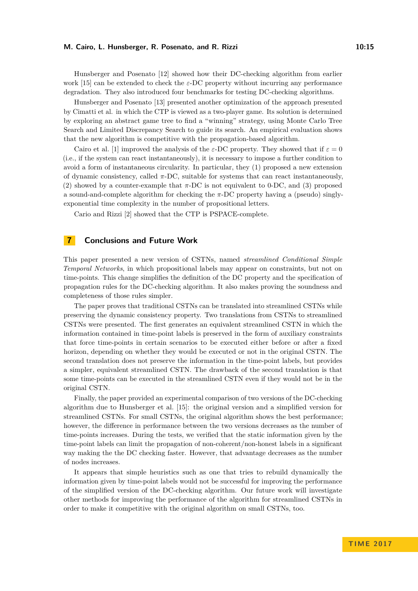### **M. Cairo, L. Hunsberger, R. Posenato, and R. Rizzi 10:15**

Hunsberger and Posenato [\[12\]](#page-15-5) showed how their DC-checking algorithm from earlier work [\[15\]](#page-15-2) can be extended to check the *ε*-DC property without incurring any performance degradation. They also introduced four benchmarks for testing DC-checking algorithms.

Hunsberger and Posenato [\[13\]](#page-15-11) presented another optimization of the approach presented by Cimatti et al. in which the CTP is viewed as a two-player game. Its solution is determined by exploring an abstract game tree to find a "winning" strategy, using Monte Carlo Tree Search and Limited Discrepancy Search to guide its search. An empirical evaluation shows that the new algorithm is competitive with the propagation-based algorithm.

Cairo et al. [\[1\]](#page-15-12) improved the analysis of the  $\varepsilon$ -DC property. They showed that if  $\varepsilon = 0$ (i.e., if the system can react instantaneously), it is necessary to impose a further condition to avoid a form of instantaneous circularity. In particular, they (1) proposed a new extension of dynamic consistency, called *π*-DC, suitable for systems that can react instantaneously, (2) showed by a counter-example that  $\pi$ -DC is not equivalent to 0-DC, and (3) proposed a sound-and-complete algorithm for checking the *π*-DC property having a (pseudo) singlyexponential time complexity in the number of propositional letters.

Cario and Rizzi [\[2\]](#page-15-13) showed that the CTP is PSPACE-complete.

## **7 Conclusions and Future Work**

This paper presented a new version of CSTNs, named *streamlined Conditional Simple Temporal Networks*, in which propositional labels may appear on constraints, but not on time-points. This change simplifies the definition of the DC property and the specification of propagation rules for the DC-checking algorithm. It also makes proving the soundness and completeness of those rules simpler.

The paper proves that traditional CSTNs can be translated into streamlined CSTNs while preserving the dynamic consistency property. Two translations from CSTNs to streamlined CSTNs were presented. The first generates an equivalent streamlined CSTN in which the information contained in time-point labels is preserved in the form of auxiliary constraints that force time-points in certain scenarios to be executed either before or after a fixed horizon, depending on whether they would be executed or not in the original CSTN. The second translation does not preserve the information in the time-point labels, but provides a simpler, equivalent streamlined CSTN. The drawback of the second translation is that some time-points can be executed in the streamlined CSTN even if they would not be in the original CSTN.

Finally, the paper provided an experimental comparison of two versions of the DC-checking algorithm due to Hunsberger et al. [\[15\]](#page-15-2): the original version and a simplified version for streamlined CSTNs. For small CSTNs, the original algorithm shows the best performance; however, the difference in performance between the two versions decreases as the number of time-points increases. During the tests, we verified that the static information given by the time-point labels can limit the propagation of non-coherent/non-honest labels in a significant way making the the DC checking faster. However, that advantage decreases as the number of nodes increases.

It appears that simple heuristics such as one that tries to rebuild dynamically the information given by time-point labels would not be successful for improving the performance of the simplified version of the DC-checking algorithm. Our future work will investigate other methods for improving the performance of the algorithm for streamlined CSTNs in order to make it competitive with the original algorithm on small CSTNs, too.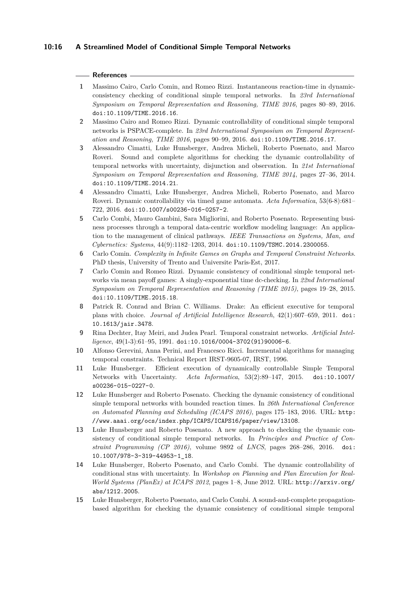## **References**

- <span id="page-15-12"></span>**1** Massimo Cairo, Carlo Comin, and Romeo Rizzi. Instantaneous reaction-time in dynamicconsistency checking of conditional simple temporal networks. In *23rd International Symposium on Temporal Representation and Reasoning, TIME 2016*, pages 80–89, 2016. [doi:10.1109/TIME.2016.16](http://dx.doi.org/10.1109/TIME.2016.16).
- <span id="page-15-13"></span>**2** Massimo Cairo and Romeo Rizzi. Dynamic controllability of conditional simple temporal networks is PSPACE-complete. In *23rd International Symposium on Temporal Representation and Reasoning, TIME 2016*, pages 90–99, 2016. [doi:10.1109/TIME.2016.17](http://dx.doi.org/10.1109/TIME.2016.17).
- <span id="page-15-9"></span>**3** Alessandro Cimatti, Luke Hunsberger, Andrea Micheli, Roberto Posenato, and Marco Roveri. Sound and complete algorithms for checking the dynamic controllability of temporal networks with uncertainty, disjunction and observation. In *21st International Symposium on Temporal Representation and Reasoning, TIME 2014*, pages 27–36, 2014. [doi:10.1109/TIME.2014.21](http://dx.doi.org/10.1109/TIME.2014.21).
- <span id="page-15-10"></span>**4** Alessandro Cimatti, Luke Hunsberger, Andrea Micheli, Roberto Posenato, and Marco Roveri. Dynamic controllability via timed game automata. *Acta Informatica*, 53(6-8):681– 722, 2016. [doi:10.1007/s00236-016-0257-2](http://dx.doi.org/10.1007/s00236-016-0257-2).
- <span id="page-15-6"></span>**5** Carlo Combi, Mauro Gambini, Sara Migliorini, and Roberto Posenato. Representing business processes through a temporal data-centric workflow modeling language: An application to the management of clinical pathways. *IEEE Transactions on Systems, Man, and Cybernetics: Systems*, 44(9):1182–1203, 2014. [doi:10.1109/TSMC.2014.2300055](http://dx.doi.org/10.1109/TSMC.2014.2300055).
- <span id="page-15-4"></span>**6** Carlo Comin. *Complexity in Infinite Games on Graphs and Temporal Constraint Networks*. PhD thesis, University of Trento and Universite Paris-Est, 2017.
- <span id="page-15-3"></span>**7** Carlo Comin and Romeo Rizzi. Dynamic consistency of conditional simple temporal networks via mean payoff games: A singly-exponential time dc-checking. In *22nd International Symposium on Temporal Representation and Reasoning (TIME 2015)*, pages 19–28, 2015. [doi:10.1109/TIME.2015.18](http://dx.doi.org/10.1109/TIME.2015.18).
- <span id="page-15-8"></span>**8** Patrick R. Conrad and Brian C. Williams. Drake: An efficient executive for temporal plans with choice. *Journal of Artificial Intelligence Research*, 42(1):607–659, 2011. [doi:](http://dx.doi.org/10.1613/jair.3478) [10.1613/jair.3478](http://dx.doi.org/10.1613/jair.3478).
- <span id="page-15-0"></span>**9** Rina Dechter, Itay Meiri, and Judea Pearl. Temporal constraint networks. *Artificial Intelligence*, 49(1-3):61–95, 1991. [doi:10.1016/0004-3702\(91\)90006-6](http://dx.doi.org/10.1016/0004-3702(91)90006-6).
- <span id="page-15-14"></span>**10** Alfonso Gerevini, Anna Perini, and Francesco Ricci. Incremental algorithms for managing temporal constraints. Technical Report IRST-9605-07, IRST, 1996.
- <span id="page-15-1"></span>**11** Luke Hunsberger. Efficient execution of dynamically controllable Simple Temporal Networks with Uncertainty. *Acta Informatica*, 53(2):89–147, 2015. [doi:10.1007/](http://dx.doi.org/10.1007/s00236-015-0227-0) [s00236-015-0227-0](http://dx.doi.org/10.1007/s00236-015-0227-0).
- <span id="page-15-5"></span>**12** Luke Hunsberger and Roberto Posenato. Checking the dynamic consistency of conditional simple temporal networks with bounded reaction times. In *26th International Conference on Automated Planning and Scheduling (ICAPS 2016)*, pages 175–183, 2016. URL: [http:](http://www.aaai.org/ocs/index.php/ICAPS/ICAPS16/paper/view/ 13108) [//www.aaai.org/ocs/index.php/ICAPS/ICAPS16/paper/view/13108](http://www.aaai.org/ocs/index.php/ICAPS/ICAPS16/paper/view/ 13108).
- <span id="page-15-11"></span>**13** Luke Hunsberger and Roberto Posenato. A new approach to checking the dynamic consistency of conditional simple temporal networks. In *Principles and Practice of Constraint Programming (CP 2016)*, volume 9892 of *LNCS*, pages 268–286, 2016. [doi:](http://dx.doi.org/10.1007/978-3-319-44953-1_18) [10.1007/978-3-319-44953-1\\_18](http://dx.doi.org/10.1007/978-3-319-44953-1_18).
- <span id="page-15-7"></span>**14** Luke Hunsberger, Roberto Posenato, and Carlo Combi. The dynamic controllability of conditional stns with uncertainty. In *Workshop on Planning and Plan Execution for Real-World Systems (PlanEx) at ICAPS 2012*, pages 1–8, June 2012. URL: [http://arxiv.org/](http://arxiv.org/abs/1212.2005) [abs/1212.2005](http://arxiv.org/abs/1212.2005).
- <span id="page-15-2"></span>**15** Luke Hunsberger, Roberto Posenato, and Carlo Combi. A sound-and-complete propagationbased algorithm for checking the dynamic consistency of conditional simple temporal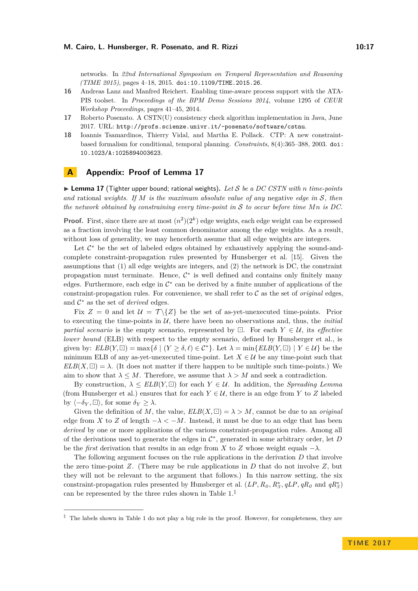networks. In *22nd International Symposium on Temporal Representation and Reasoning (TIME 2015)*, pages 4–18, 2015. [doi:10.1109/TIME.2015.26](http://dx.doi.org/10.1109/TIME.2015.26).

- <span id="page-16-1"></span>**16** Andreas Lanz and Manfred Reichert. Enabling time-aware process support with the ATA-PIS toolset. In *Proceedings of the BPM Demo Sessions 2014*, volume 1295 of *CEUR Workshop Proceedings*, pages 41–45, 2014.
- <span id="page-16-2"></span>**17** Roberto Posenato. A CSTN(U) consistency check algorithm implementation in Java, June 2017. URL: <http://profs.scienze.univr.it/~posenato/software/cstnu>.
- <span id="page-16-0"></span>**18** Ioannis Tsamardinos, Thierry Vidal, and Martha E. Pollack. CTP: A new constraintbased formalism for conditional, temporal planning. *Constraints*, 8(4):365–388, 2003. [doi:](http://dx.doi.org/10.1023/A:1025894003623) [10.1023/A:1025894003623](http://dx.doi.org/10.1023/A:1025894003623).

# **A Appendix: Proof of Lemma [17](#page-6-0)**

 $\triangleright$  **Lemma 17** (Tighter upper bound; rational weights). Let S be a DC CSTN with *n* time-points *and* rational *weights. If M is the maximum absolute value of any* negative *edge in* S*, then the network obtained by constraining every time-point in* S *to occur before time Mn is DC.*

**Proof.** First, since there are at most  $(n^2)(2^k)$  edge weights, each edge weight can be expressed as a fraction involving the least common denominator among the edge weights. As a result, without loss of generality, we may henceforth assume that all edge weights are integers.

Let  $C^*$  be the set of labeled edges obtained by exhaustively applying the sound-andcomplete constraint-propagation rules presented by Hunsberger et al. [\[15\]](#page-15-2). Given the assumptions that (1) all edge weights are integers, and (2) the network is DC, the constraint propagation must terminate. Hence,  $C^*$  is well defined and contains only finitely many edges. Furthermore, each edge in  $\mathcal{C}^*$  can be derived by a finite number of applications of the constraint-propagation rules. For convenience, we shall refer to C as the set of *original* edges, and  $C^*$  as the set of *derived* edges.

Fix  $Z = 0$  and let  $\mathcal{U} = \mathcal{T} \setminus \{Z\}$  be the set of as-yet-unexecuted time-points. Prior to executing the time-points in  $\mathcal{U}$ , there have been no observations and, thus, the *initial partial scenario* is the empty scenario, represented by  $\Box$ . For each  $Y \in \mathcal{U}$ , its *effective lower bound* (ELB) with respect to the empty scenario, defined by Hunsberger et al., is given by:  $ELB(Y, \Box) = \max{\{\delta \mid (Y \ge \delta, \ell) \in C^*\}}$ . Let  $\lambda = \min\{ELB(Y, \Box) \mid Y \in \mathcal{U}\}\)$  be the minimum ELB of any as-yet-unexecuted time-point. Let  $X \in \mathcal{U}$  be any time-point such that  $ELB(X, \Box) = \lambda$ . (It does not matter if there happen to be multiple such time-points.) We aim to show that  $\lambda \leq M$ . Therefore, we assume that  $\lambda > M$  and seek a contradiction.

By construction,  $\lambda \leq ELB(Y, \square)$  for each  $Y \in \mathcal{U}$ . In addition, the *Spreading Lemma* (from Hunsberger et al.) ensures that for each  $Y \in U$ , there is an edge from *Y* to *Z* labeled by  $\langle -\delta_Y, \Box \rangle$ , for some  $\delta_Y \geq \lambda$ .

Given the definition of M, the value,  $ELB(X, \Box) = \lambda > M$ , cannot be due to an *original* edge from *X* to *Z* of length  $-\lambda < -M$ . Instead, it must be due to an edge that has been *derived* by one or more applications of the various constraint-propagation rules. Among all of the derivations used to generate the edges in C ∗ , generated in some arbitrary order, let *D* be the *first* derivation that results in an edge from *X* to *Z* whose weight equals  $-\lambda$ .

The following argument focuses on the rule applications in the derivation *D* that involve the zero time-point *Z*. (There may be rule applications in *D* that do not involve *Z*, but they will not be relevant to the argument that follows.) In this narrow setting, the six constraint-propagation rules presented by Hunsberger et al.  $(LP, R_0, R_3^*, qLP, qR_0$  and  $qR_3^*$ ) can be represented by the three rules shown in Table [1.](#page-17-0)[‡](#page-16-3)

<span id="page-16-3"></span> $\ddot{\text{ } }$  The labels shown in Table [1](#page-17-0) do not play a big role in the proof. However, for completeness, they are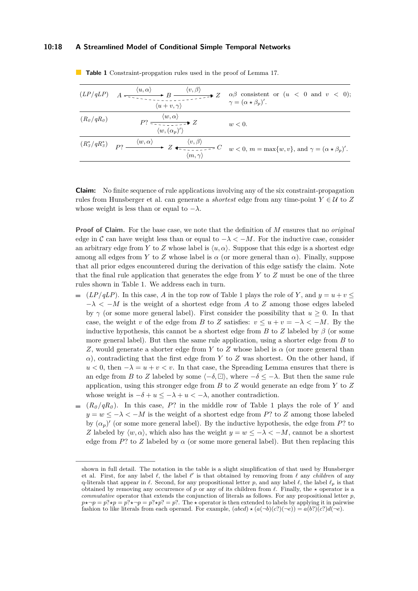## **10:18 A Streamlined Model of Conditional Simple Temporal Networks**

| (LP/qLP)     | $\langle v, \beta \rangle$<br>$\langle u, \alpha \rangle$<br>$\langle u+v,\gamma\rangle$ | $\alpha\beta$ consistent or $(u < 0$ and $v < 0)$ ;<br>$\gamma = (\alpha \star \beta_n)'$ .                                                                                                                                                                                                                                                                                                                      |
|--------------|------------------------------------------------------------------------------------------|------------------------------------------------------------------------------------------------------------------------------------------------------------------------------------------------------------------------------------------------------------------------------------------------------------------------------------------------------------------------------------------------------------------|
| $(R_0/qR_0)$ | $P? \xrightarrow{\langle w, \alpha \rangle} Z$<br>$\langle w, (\alpha_p)' \rangle$       | w<0.                                                                                                                                                                                                                                                                                                                                                                                                             |
|              | $\langle m, \gamma \rangle$                                                              | $\overline{(R_3^*/qR_3^*)}$ $\overline{P_1^*}$ $\xrightarrow{\langle w, \alpha \rangle}$ $Z \longleftarrow{\langle v, \beta \rangle}$ $\overline{Z}$ $\overline{Z}$ $\overline{Z}$ $\overline{Z}$ $\overline{Z}$ $\overline{Z}$ $\overline{Z}$ $\overline{Z}$ $\overline{Z}$ $\overline{Z}$ $\overline{Z}$ $\overline{Z}$ $\overline{Z}$ $\overline{Z}$ $\overline{Z}$ $\overline{Z}$ $\overline{Z}$ $\overline$ |

<span id="page-17-0"></span>**Table 1** Constraint-propgation rules used in the proof of Lemma [17.](#page-6-0)

**Claim:** No finite sequence of rule applications involving any of the six constraint-propagation rules from Hunsberger et al. can generate a *shortest* edge from any time-point  $Y \in U$  to  $Z$ whose weight is less than or equal to  $-\lambda$ .

**Proof of Claim.** For the base case, we note that the definition of *M* ensures that no *original* edge in C can have weight less than or equal to  $-\lambda < -M$ . For the inductive case, consider an arbitrary edge from *Y* to *Z* whose label is  $\langle u, \alpha \rangle$ . Suppose that this edge is a shortest edge among all edges from *Y* to *Z* whose label is  $\alpha$  (or more general than  $\alpha$ ). Finally, suppose that all prior edges encountered during the derivation of this edge satisfy the claim. Note that the final rule application that generates the edge from *Y* to *Z* must be one of the three rules shown in Table [1.](#page-17-0) We address each in turn.

- $(LP/qLP)$ . In this case, *A* in the top row of Table [1](#page-17-0) plays the role of *Y*, and  $y = u + v \leq$  $-\lambda < -M$  is the weight of a shortest edge from *A* to *Z* among those edges labeled by  $\gamma$  (or some more general label). First consider the possibility that  $u > 0$ . In that case, the weight *v* of the edge from *B* to *Z* satisfies:  $v \le u + v = -\lambda < -M$ . By the inductive hypothesis, this cannot be a shortest edge from *B* to *Z* labeled by  $\beta$  (or some more general label). But then the same rule application, using a shorter edge from *B* to *Z*, would generate a shorter edge from *Y* to *Z* whose label is  $\alpha$  (or more general than  $\alpha$ ), contradicting that the first edge from *Y* to *Z* was shortest. On the other hand, if  $u < 0$ , then  $-\lambda = u + v < v$ . In that case, the Spreading Lemma ensures that there is an edge from *B* to *Z* labeled by some  $\langle -\delta, \Xi \rangle$ , where  $-\delta \leq -\lambda$ . But then the same rule application, using this stronger edge from *B* to *Z* would generate an edge from *Y* to *Z* whose weight is  $-\delta + u \leq -\lambda + u \leq -\lambda$ , another contradiction.
- $(R_0/qR_0)$ . In this case, P? in the middle row of Table [1](#page-17-0) plays the role of Y and  $y = w \leq -\lambda < -M$  is the weight of a shortest edge from *P*? to *Z* among those labeled by  $(\alpha_p)'$  (or some more general label). By the inductive hypothesis, the edge from *P*? to *Z* labeled by  $\langle w, \alpha \rangle$ , which also has the weight  $y = w \le -\lambda < -M$ , cannot be a shortest edge from *P*? to *Z* labeled by  $\alpha$  (or some more general label). But then replacing this

shown in full detail. The notation in the table is a slight simplification of that used by Hunsberger et al. First, for any label  $\ell$ , the label  $\ell'$  is that obtained by removing from  $\ell$  any *children* of any q-literals that appear in  $\ell$ . Second, for any propositional letter *p*, and any label  $\ell$ , the label  $\ell_p$  is that obtained by removing any occurrence of  $p$  or any of its children from  $\ell$ . Finally, the  $\star$  operator is a *commutative* operator that extends the conjunction of literals as follows. For any propositional letter *p*,  $p \star \neg p = p^2 \star p = p^2 \star p^2 = p^2$ . The  $\star$  operator is then extended to labels by applying it in pairwise fashion to like literals from each operand. For example,  $(abcd) \star (a(-b)(c))(\neg e) = a(b^2)(c^2)d(\neg e)$ .